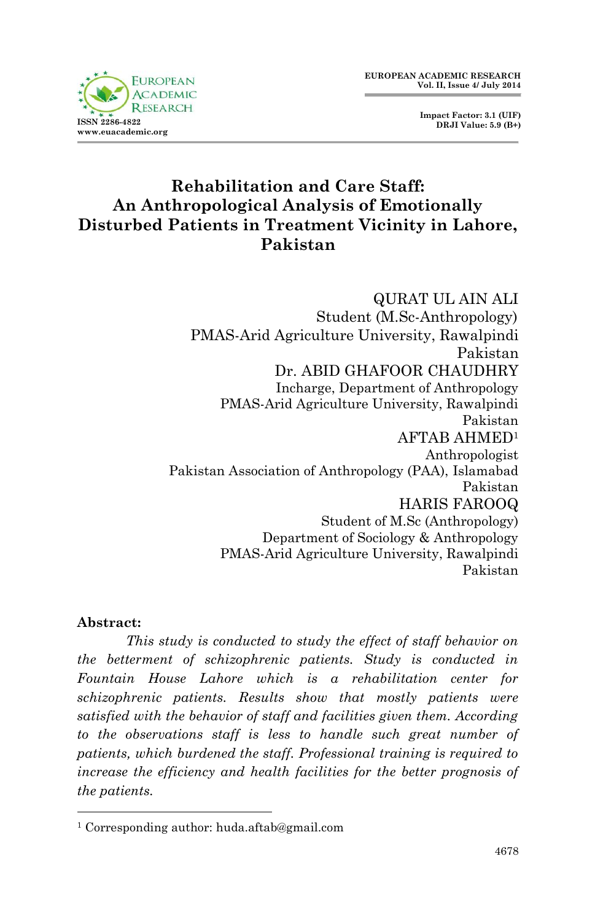

# **Rehabilitation and Care Staff: An Anthropological Analysis of Emotionally Disturbed Patients in Treatment Vicinity in Lahore, Pakistan**

QURAT UL AIN ALI Student (M.Sc-Anthropology) PMAS-Arid Agriculture University, Rawalpindi Pakistan Dr. ABID GHAFOOR CHAUDHRY Incharge, Department of Anthropology PMAS-Arid Agriculture University, Rawalpindi Pakistan AFTAB AHMED<sup>1</sup> Anthropologist Pakistan Association of Anthropology (PAA), Islamabad Pakistan HARIS FAROOQ Student of M.Sc (Anthropology) Department of Sociology & Anthropology PMAS-Arid Agriculture University, Rawalpindi Pakistan

#### **Abstract:**

1

*This study is conducted to study the effect of staff behavior on the betterment of schizophrenic patients. Study is conducted in Fountain House Lahore which is a rehabilitation center for schizophrenic patients. Results show that mostly patients were satisfied with the behavior of staff and facilities given them. According to the observations staff is less to handle such great number of patients, which burdened the staff. Professional training is required to increase the efficiency and health facilities for the better prognosis of the patients.*

<sup>1</sup> Corresponding author: huda.aftab@gmail.com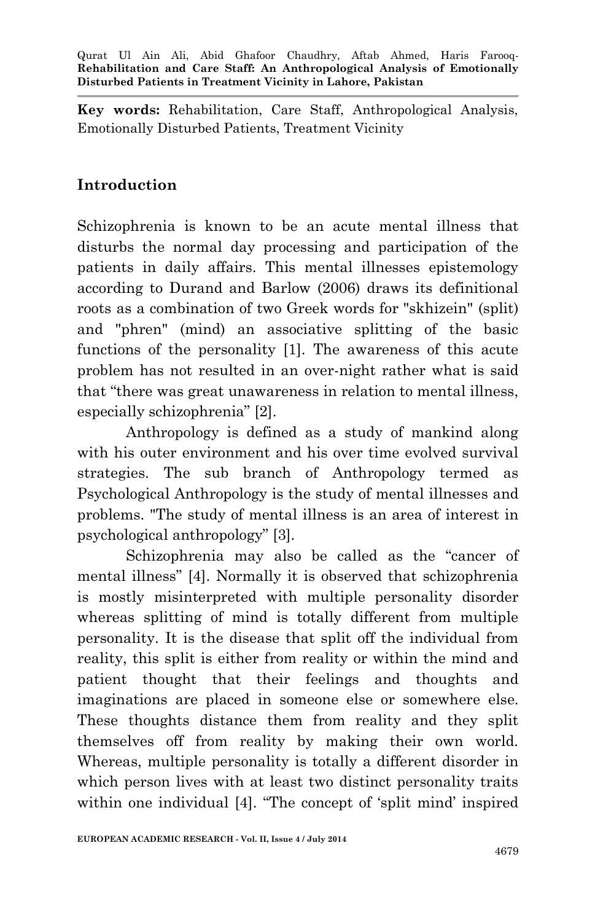**Key words:** Rehabilitation, Care Staff, Anthropological Analysis, Emotionally Disturbed Patients, Treatment Vicinity

## **Introduction**

Schizophrenia is known to be an acute mental illness that disturbs the normal day processing and participation of the patients in daily affairs. This mental illnesses epistemology according to Durand and Barlow (2006) draws its definitional roots as a combination of two Greek words for "skhizein" (split) and "phren" (mind) an associative splitting of the basic functions of the personality [1]. The awareness of this acute problem has not resulted in an over-night rather what is said that "there was great unawareness in relation to mental illness, especially schizophrenia" [2].

Anthropology is defined as a study of mankind along with his outer environment and his over time evolved survival strategies. The sub branch of Anthropology termed as Psychological Anthropology is the study of mental illnesses and problems. "The study of mental illness is an area of interest in psychological anthropology" [3].

Schizophrenia may also be called as the "cancer of mental illness" [4]. Normally it is observed that schizophrenia is mostly misinterpreted with multiple personality disorder whereas splitting of mind is totally different from multiple personality. It is the disease that split off the individual from reality, this split is either from reality or within the mind and patient thought that their feelings and thoughts and imaginations are placed in someone else or somewhere else. These thoughts distance them from reality and they split themselves off from reality by making their own world. Whereas, multiple personality is totally a different disorder in which person lives with at least two distinct personality traits within one individual [4]. "The concept of 'split mind' inspired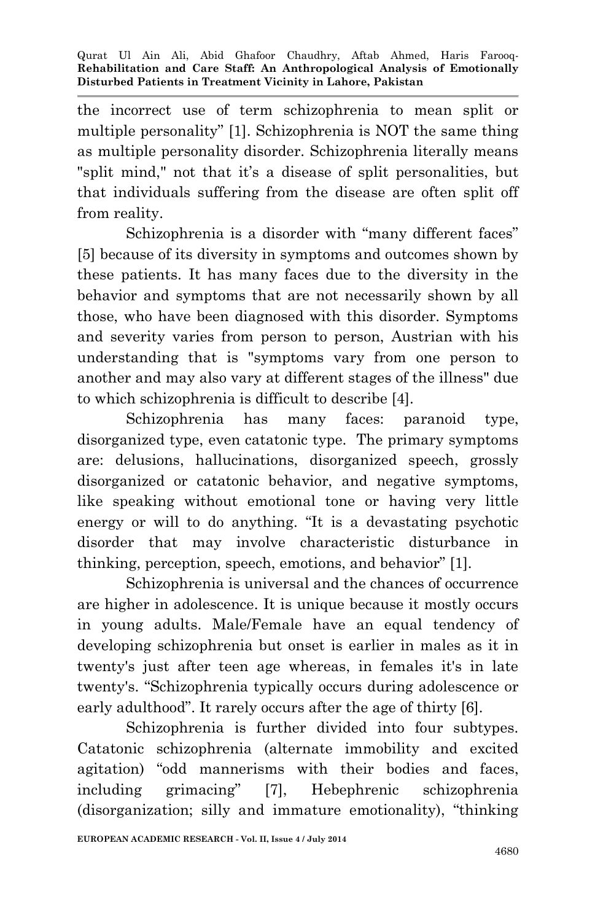the incorrect use of term schizophrenia to mean split or multiple personality" [1]. Schizophrenia is NOT the same thing as multiple personality disorder. Schizophrenia literally means "split mind," not that it's a disease of split personalities, but that individuals suffering from the disease are often split off from reality.

Schizophrenia is a disorder with "many different faces" [5] because of its diversity in symptoms and outcomes shown by these patients. It has many faces due to the diversity in the behavior and symptoms that are not necessarily shown by all those, who have been diagnosed with this disorder. Symptoms and severity varies from person to person, Austrian with his understanding that is "symptoms vary from one person to another and may also vary at different stages of the illness" due to which schizophrenia is difficult to describe [4].

Schizophrenia has many faces: paranoid type, disorganized type, even catatonic type. The primary symptoms are: delusions, hallucinations, disorganized speech, grossly disorganized or catatonic behavior, and negative symptoms, like speaking without emotional tone or having very little energy or will to do anything. "It is a devastating psychotic disorder that may involve characteristic disturbance in thinking, perception, speech, emotions, and behavior" [1].

Schizophrenia is universal and the chances of occurrence are higher in adolescence. It is unique because it mostly occurs in young adults. Male/Female have an equal tendency of developing schizophrenia but onset is earlier in males as it in twenty's just after teen age whereas, in females it's in late twenty's. "Schizophrenia typically occurs during adolescence or early adulthood". It rarely occurs after the age of thirty [6].

Schizophrenia is further divided into four subtypes. Catatonic schizophrenia (alternate immobility and excited agitation) "odd mannerisms with their bodies and faces, including grimacing" [7], Hebephrenic schizophrenia (disorganization; silly and immature emotionality), "thinking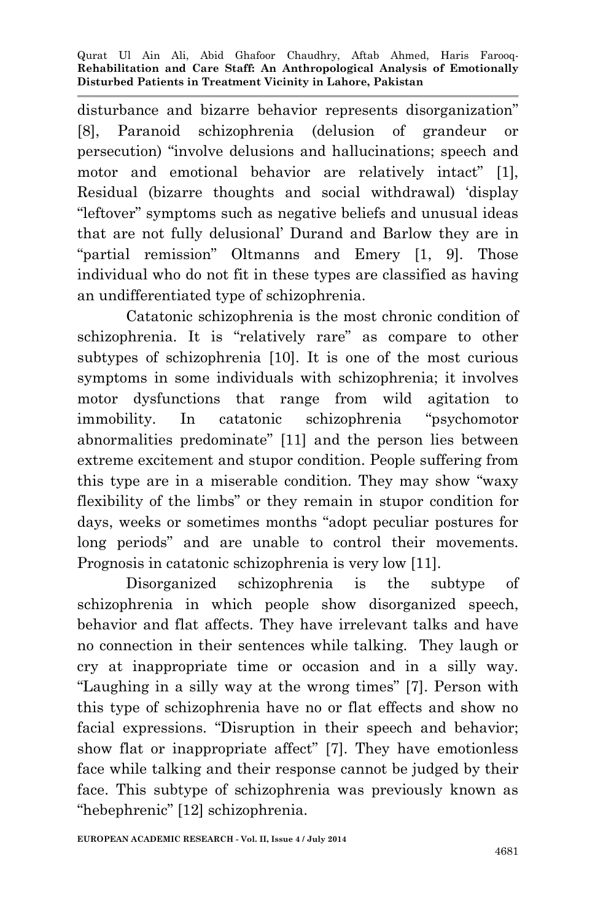disturbance and bizarre behavior represents disorganization" [8], Paranoid schizophrenia (delusion of grandeur or persecution) "involve delusions and hallucinations; speech and motor and emotional behavior are relatively intact" [1], Residual (bizarre thoughts and social withdrawal) 'display "leftover" symptoms such as negative beliefs and unusual ideas that are not fully delusional' Durand and Barlow they are in "partial remission" Oltmanns and Emery [1, 9]. Those individual who do not fit in these types are classified as having an undifferentiated type of schizophrenia.

Catatonic schizophrenia is the most chronic condition of schizophrenia. It is "relatively rare" as compare to other subtypes of schizophrenia [10]. It is one of the most curious symptoms in some individuals with schizophrenia; it involves motor dysfunctions that range from wild agitation to immobility. In catatonic schizophrenia "psychomotor abnormalities predominate" [11] and the person lies between extreme excitement and stupor condition. People suffering from this type are in a miserable condition. They may show "waxy flexibility of the limbs" or they remain in stupor condition for days, weeks or sometimes months "adopt peculiar postures for long periods" and are unable to control their movements. Prognosis in catatonic schizophrenia is very low [11].

Disorganized schizophrenia is the subtype of schizophrenia in which people show disorganized speech, behavior and flat affects. They have irrelevant talks and have no connection in their sentences while talking. They laugh or cry at inappropriate time or occasion and in a silly way. "Laughing in a silly way at the wrong times" [7]. Person with this type of schizophrenia have no or flat effects and show no facial expressions. "Disruption in their speech and behavior; show flat or inappropriate affect" [7]. They have emotionless face while talking and their response cannot be judged by their face. This subtype of schizophrenia was previously known as "hebephrenic" [12] schizophrenia.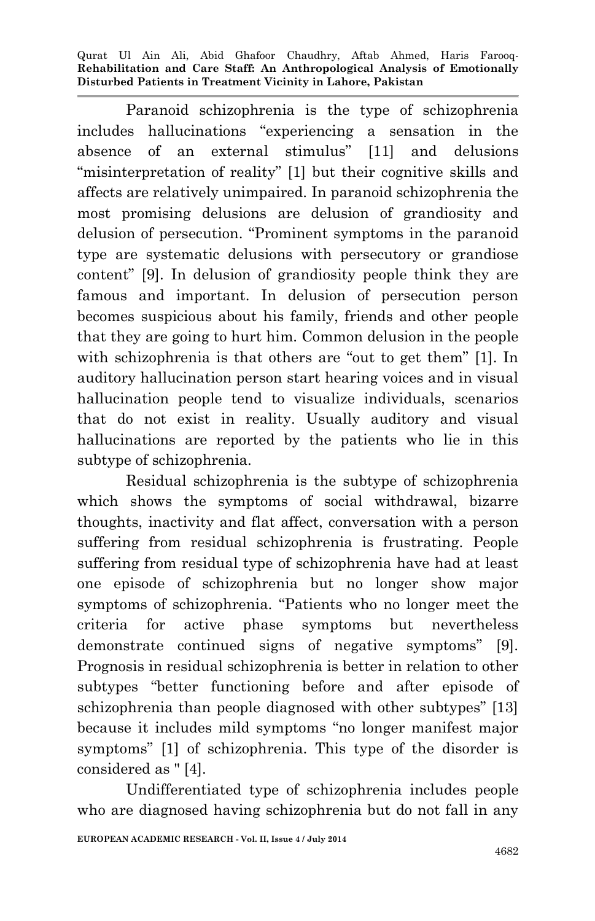Paranoid schizophrenia is the type of schizophrenia includes hallucinations "experiencing a sensation in the absence of an external stimulus" [11] and delusions "misinterpretation of reality" [1] but their cognitive skills and affects are relatively unimpaired. In paranoid schizophrenia the most promising delusions are delusion of grandiosity and delusion of persecution. "Prominent symptoms in the paranoid type are systematic delusions with persecutory or grandiose content" [9]. In delusion of grandiosity people think they are famous and important. In delusion of persecution person becomes suspicious about his family, friends and other people that they are going to hurt him. Common delusion in the people with schizophrenia is that others are "out to get them" [1]. In auditory hallucination person start hearing voices and in visual hallucination people tend to visualize individuals, scenarios that do not exist in reality. Usually auditory and visual hallucinations are reported by the patients who lie in this subtype of schizophrenia.

Residual schizophrenia is the subtype of schizophrenia which shows the symptoms of social withdrawal, bizarre thoughts, inactivity and flat affect, conversation with a person suffering from residual schizophrenia is frustrating. People suffering from residual type of schizophrenia have had at least one episode of schizophrenia but no longer show major symptoms of schizophrenia. "Patients who no longer meet the criteria for active phase symptoms but nevertheless demonstrate continued signs of negative symptoms" [9]. Prognosis in residual schizophrenia is better in relation to other subtypes "better functioning before and after episode of schizophrenia than people diagnosed with other subtypes" [13] because it includes mild symptoms "no longer manifest major symptoms" [1] of schizophrenia. This type of the disorder is considered as " [4].

Undifferentiated type of schizophrenia includes people who are diagnosed having schizophrenia but do not fall in any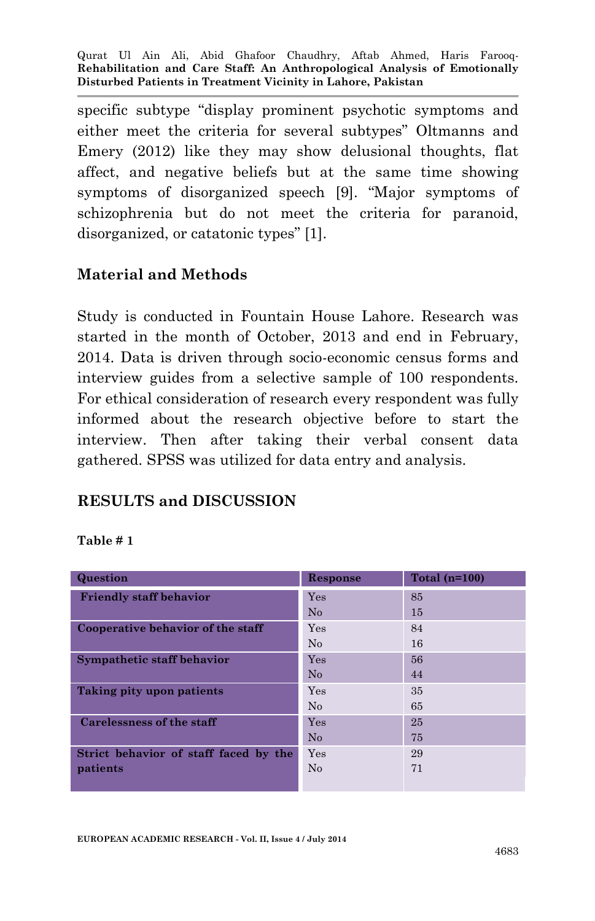specific subtype "display prominent psychotic symptoms and either meet the criteria for several subtypes" Oltmanns and Emery (2012) like they may show delusional thoughts, flat affect, and negative beliefs but at the same time showing symptoms of disorganized speech [9]. "Major symptoms of schizophrenia but do not meet the criteria for paranoid, disorganized, or catatonic types" [1].

#### **Material and Methods**

Study is conducted in Fountain House Lahore. Research was started in the month of October, 2013 and end in February, 2014. Data is driven through socio-economic census forms and interview guides from a selective sample of 100 respondents. For ethical consideration of research every respondent was fully informed about the research objective before to start the interview. Then after taking their verbal consent data gathered. SPSS was utilized for data entry and analysis.

### **RESULTS and DISCUSSION**

#### **Table # 1**

| Question                              | Response | Total $(n=100)$ |
|---------------------------------------|----------|-----------------|
| <b>Friendly staff behavior</b>        | Yes      | 85              |
|                                       | No       | 15              |
| Cooperative behavior of the staff     | Yes      | 84              |
|                                       | No       | 16              |
| Sympathetic staff behavior            | Yes      | 56              |
|                                       | No       | 44              |
| Taking pity upon patients             | Yes      | 35              |
|                                       | No       | 65              |
| Carelessness of the staff             | Yes      | 25              |
|                                       | No       | 75              |
| Strict behavior of staff faced by the | Yes      | 29              |
| patients                              | No       | 71              |
|                                       |          |                 |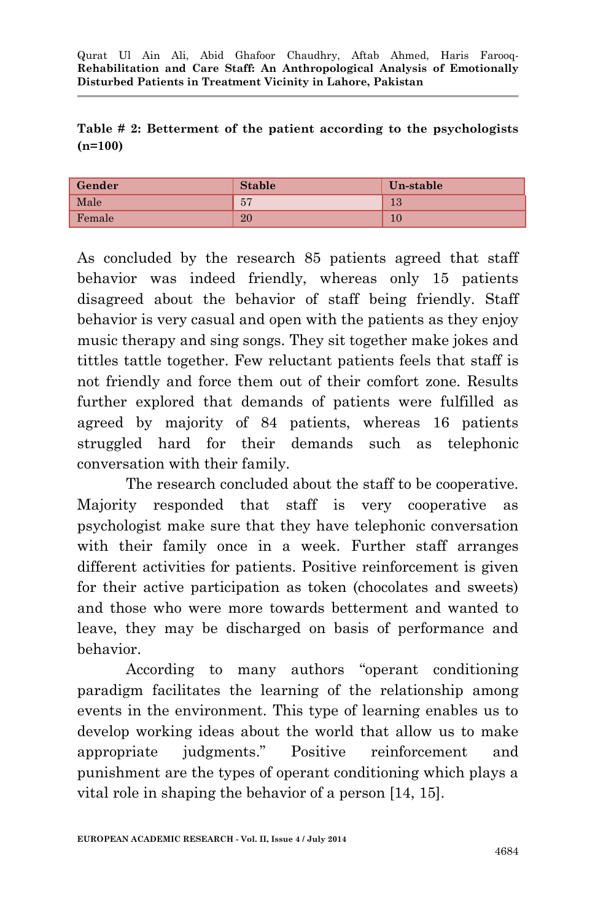|           |  |  |  | Table # 2: Betterment of the patient according to the psychologists |
|-----------|--|--|--|---------------------------------------------------------------------|
| $(n=100)$ |  |  |  |                                                                     |

| Gender | <b>Stable</b> | Un-stable |
|--------|---------------|-----------|
| Male   | 57            | 19<br>10  |
| Female | 20            |           |

As concluded by the research 85 patients agreed that staff behavior was indeed friendly, whereas only 15 patients disagreed about the behavior of staff being friendly. Staff behavior is very casual and open with the patients as they enjoy music therapy and sing songs. They sit together make jokes and tittles tattle together. Few reluctant patients feels that staff is not friendly and force them out of their comfort zone. Results further explored that demands of patients were fulfilled as agreed by majority of 84 patients, whereas 16 patients struggled hard for their demands such as telephonic conversation with their family.

The research concluded about the staff to be cooperative. Majority responded that staff is very cooperative as psychologist make sure that they have telephonic conversation with their family once in a week. Further staff arranges different activities for patients. Positive reinforcement is given for their active participation as token (chocolates and sweets) and those who were more towards betterment and wanted to leave, they may be discharged on basis of performance and behavior.

According to many authors "operant conditioning paradigm facilitates the learning of the relationship among events in the environment. This type of learning enables us to develop working ideas about the world that allow us to make appropriate judgments." Positive reinforcement and punishment are the types of operant conditioning which plays a vital role in shaping the behavior of a person [14, 15].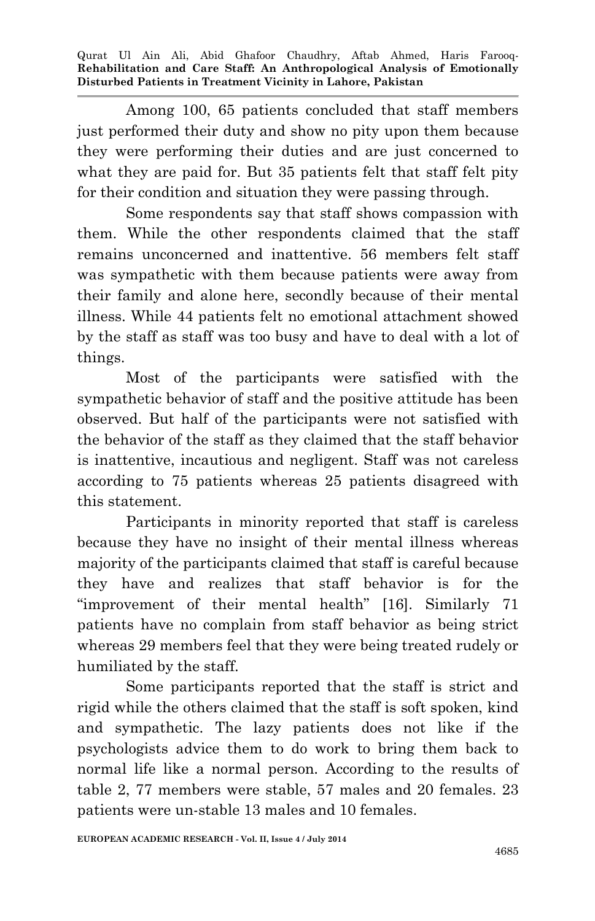Among 100, 65 patients concluded that staff members just performed their duty and show no pity upon them because they were performing their duties and are just concerned to what they are paid for. But 35 patients felt that staff felt pity for their condition and situation they were passing through.

Some respondents say that staff shows compassion with them. While the other respondents claimed that the staff remains unconcerned and inattentive. 56 members felt staff was sympathetic with them because patients were away from their family and alone here, secondly because of their mental illness. While 44 patients felt no emotional attachment showed by the staff as staff was too busy and have to deal with a lot of things.

Most of the participants were satisfied with the sympathetic behavior of staff and the positive attitude has been observed. But half of the participants were not satisfied with the behavior of the staff as they claimed that the staff behavior is inattentive, incautious and negligent. Staff was not careless according to 75 patients whereas 25 patients disagreed with this statement.

Participants in minority reported that staff is careless because they have no insight of their mental illness whereas majority of the participants claimed that staff is careful because they have and realizes that staff behavior is for the "improvement of their mental health" [16]. Similarly 71 patients have no complain from staff behavior as being strict whereas 29 members feel that they were being treated rudely or humiliated by the staff.

Some participants reported that the staff is strict and rigid while the others claimed that the staff is soft spoken, kind and sympathetic. The lazy patients does not like if the psychologists advice them to do work to bring them back to normal life like a normal person. According to the results of table 2, 77 members were stable, 57 males and 20 females. 23 patients were un-stable 13 males and 10 females.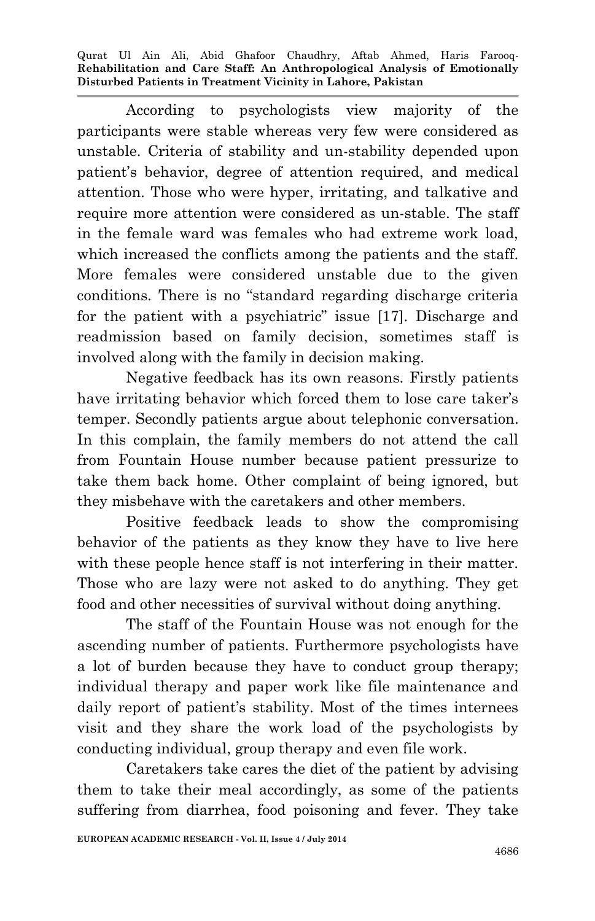According to psychologists view majority of the participants were stable whereas very few were considered as unstable. Criteria of stability and un-stability depended upon patient's behavior, degree of attention required, and medical attention. Those who were hyper, irritating, and talkative and require more attention were considered as un-stable. The staff in the female ward was females who had extreme work load, which increased the conflicts among the patients and the staff. More females were considered unstable due to the given conditions. There is no "standard regarding discharge criteria for the patient with a psychiatric" issue [17]. Discharge and readmission based on family decision, sometimes staff is involved along with the family in decision making.

Negative feedback has its own reasons. Firstly patients have irritating behavior which forced them to lose care taker's temper. Secondly patients argue about telephonic conversation. In this complain, the family members do not attend the call from Fountain House number because patient pressurize to take them back home. Other complaint of being ignored, but they misbehave with the caretakers and other members.

Positive feedback leads to show the compromising behavior of the patients as they know they have to live here with these people hence staff is not interfering in their matter. Those who are lazy were not asked to do anything. They get food and other necessities of survival without doing anything.

The staff of the Fountain House was not enough for the ascending number of patients. Furthermore psychologists have a lot of burden because they have to conduct group therapy; individual therapy and paper work like file maintenance and daily report of patient's stability. Most of the times internees visit and they share the work load of the psychologists by conducting individual, group therapy and even file work.

Caretakers take cares the diet of the patient by advising them to take their meal accordingly, as some of the patients suffering from diarrhea, food poisoning and fever. They take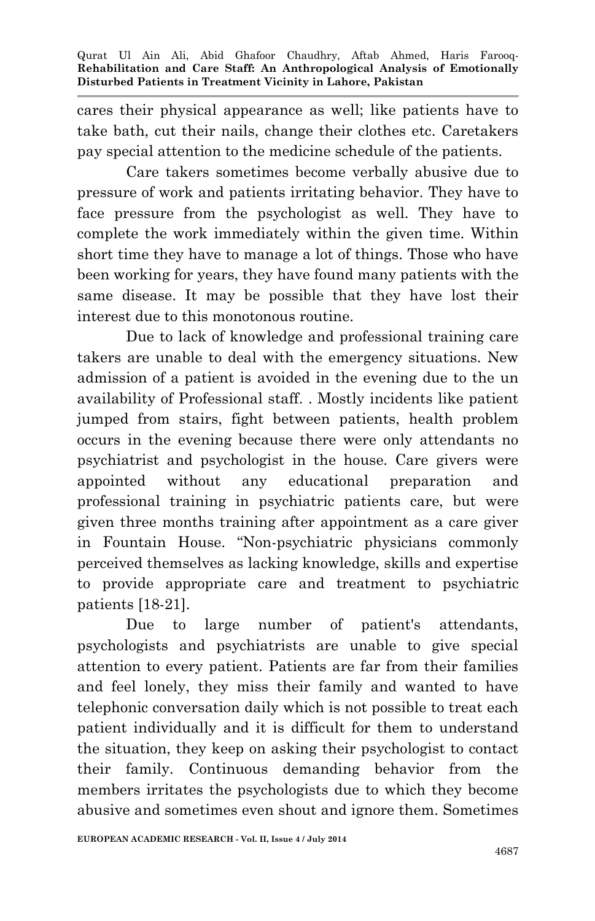cares their physical appearance as well; like patients have to take bath, cut their nails, change their clothes etc. Caretakers pay special attention to the medicine schedule of the patients.

Care takers sometimes become verbally abusive due to pressure of work and patients irritating behavior. They have to face pressure from the psychologist as well. They have to complete the work immediately within the given time. Within short time they have to manage a lot of things. Those who have been working for years, they have found many patients with the same disease. It may be possible that they have lost their interest due to this monotonous routine.

Due to lack of knowledge and professional training care takers are unable to deal with the emergency situations. New admission of a patient is avoided in the evening due to the un availability of Professional staff. . Mostly incidents like patient jumped from stairs, fight between patients, health problem occurs in the evening because there were only attendants no psychiatrist and psychologist in the house. Care givers were appointed without any educational preparation and professional training in psychiatric patients care, but were given three months training after appointment as a care giver in Fountain House. "Non-psychiatric physicians commonly perceived themselves as lacking knowledge, skills and expertise to provide appropriate care and treatment to psychiatric patients [18-21].

Due to large number of patient's attendants, psychologists and psychiatrists are unable to give special attention to every patient. Patients are far from their families and feel lonely, they miss their family and wanted to have telephonic conversation daily which is not possible to treat each patient individually and it is difficult for them to understand the situation, they keep on asking their psychologist to contact their family. Continuous demanding behavior from the members irritates the psychologists due to which they become abusive and sometimes even shout and ignore them. Sometimes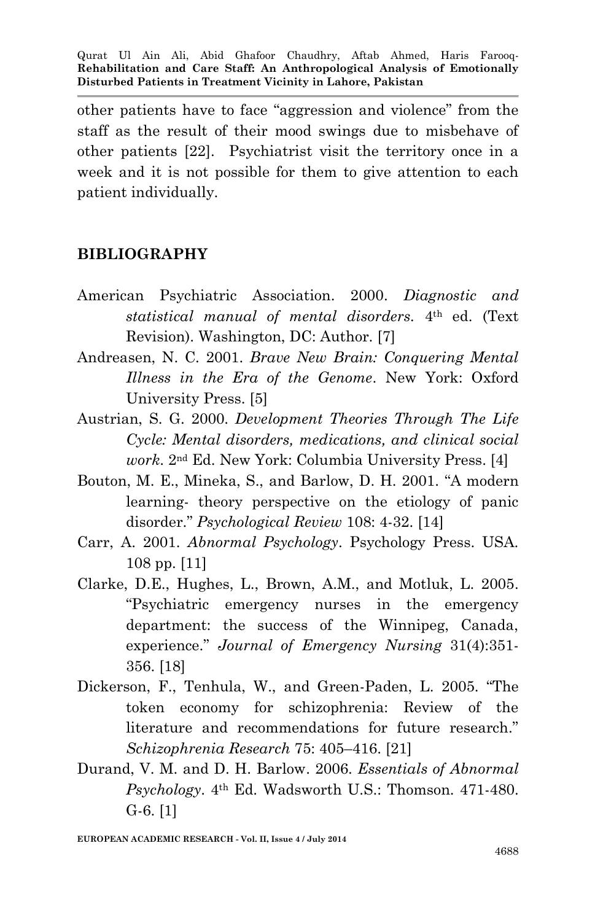other patients have to face "aggression and violence" from the staff as the result of their mood swings due to misbehave of other patients [22]. Psychiatrist visit the territory once in a week and it is not possible for them to give attention to each patient individually.

### **BIBLIOGRAPHY**

- American Psychiatric Association. 2000. *Diagnostic and statistical manual of mental disorders.* 4th ed. (Text Revision). Washington, DC: Author. [7]
- Andreasen, N. C. 2001. *Brave New Brain: Conquering Mental Illness in the Era of the Genome*. New York: Oxford University Press. [5]
- Austrian, S. G. 2000. *Development Theories Through The Life Cycle: Mental disorders, medications, and clinical social work*. 2nd Ed. New York: Columbia University Press. [4]
- Bouton, M. E., Mineka, S., and Barlow, D. H. 2001. "A modern learning- theory perspective on the etiology of panic disorder." *Psychological Review* 108: 4-32. [14]
- Carr, A. 2001. *Abnormal Psychology*. Psychology Press. USA. 108 pp. [11]
- Clarke, D.E., Hughes, L., Brown, A.M., and Motluk, L. 2005. "Psychiatric emergency nurses in the emergency department: the success of the Winnipeg, Canada, experience." *Journal of Emergency Nursing* 31(4):351- 356. [18]
- Dickerson, F., Tenhula, W., and Green-Paden, L. 2005. "The token economy for schizophrenia: Review of the literature and recommendations for future research." *Schizophrenia Research* 75: 405–416. [21]
- Durand, V. M. and D. H. Barlow. 2006. *Essentials of Abnormal Psychology*. 4th Ed. Wadsworth U.S.: Thomson. 471-480. G-6. [1]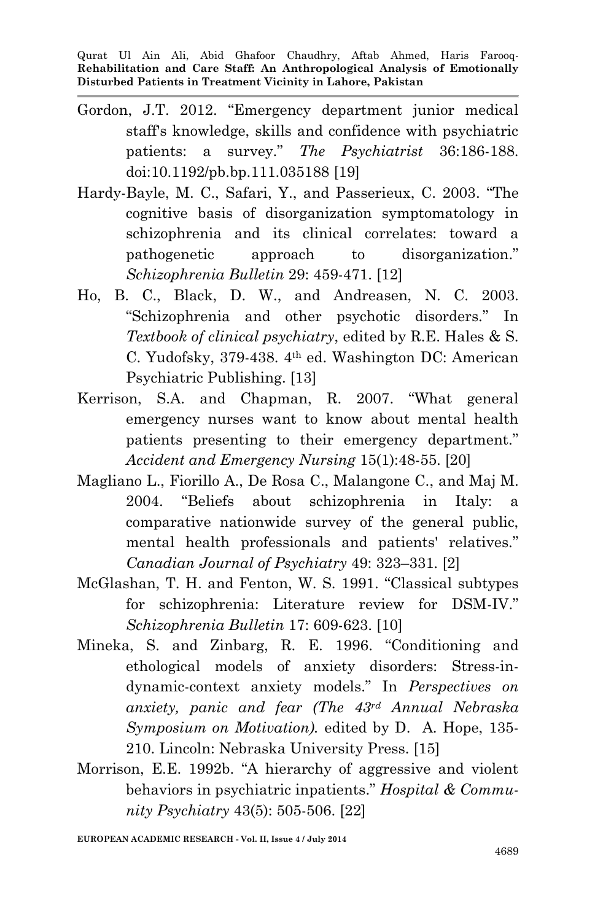- Gordon, J.T. 2012. "Emergency department junior medical staff's knowledge, skills and confidence with psychiatric patients: a survey." *The Psychiatrist* 36:186-188. doi:10.1192/pb.bp.111.035188 [19]
- Hardy-Bayle, M. C., Safari, Y., and Passerieux, C. 2003. "The cognitive basis of disorganization symptomatology in schizophrenia and its clinical correlates: toward a pathogenetic approach to disorganization." *Schizophrenia Bulletin* 29: 459-471. [12]
- Ho, B. C., Black, D. W., and Andreasen, N. C. 2003. "Schizophrenia and other psychotic disorders." In *Textbook of clinical psychiatry*, edited by R.E. Hales & S. C. Yudofsky, 379-438. 4th ed. Washington DC: American Psychiatric Publishing. [13]
- Kerrison, S.A. and Chapman, R. 2007. "What general emergency nurses want to know about mental health patients presenting to their emergency department." *Accident and Emergency Nursing* 15(1):48-55. [20]
- Magliano L., Fiorillo A., De Rosa C., Malangone C., and Maj M. 2004. "Beliefs about schizophrenia in Italy: a comparative nationwide survey of the general public, mental health professionals and patients' relatives." *Canadian Journal of Psychiatry* 49: 323–331. [2]
- McGlashan, T. H. and Fenton, W. S. 1991. "Classical subtypes for schizophrenia: Literature review for DSM-IV." *Schizophrenia Bulletin* 17: 609-623. [10]
- Mineka, S. and Zinbarg, R. E. 1996. "Conditioning and ethological models of anxiety disorders: Stress-indynamic-context anxiety models." In *Perspectives on anxiety, panic and fear (The 43rd Annual Nebraska Symposium on Motivation).* edited by D. A. Hope, 135- 210. Lincoln: Nebraska University Press. [15]
- Morrison, E.E. 1992b. "A hierarchy of aggressive and violent behaviors in psychiatric inpatients." *Hospital & Community Psychiatry* 43(5): 505-506. [22]